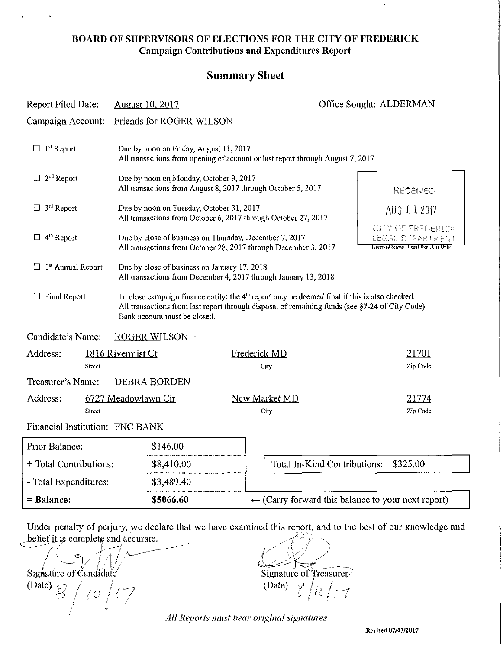#### BOARD OF SUPERVISORS OF ELECTIONS FOR THE CITY OF FREDERICK Campaign Contributions and Expenditures Report

#### Summary Sheet

| Report Filed Date:                                            | <b>August 10, 2017</b>                                                                                                                                                                                                                      |                                                                                                                                                                                             | Office Sought: ALDERMAN |  |
|---------------------------------------------------------------|---------------------------------------------------------------------------------------------------------------------------------------------------------------------------------------------------------------------------------------------|---------------------------------------------------------------------------------------------------------------------------------------------------------------------------------------------|-------------------------|--|
| Campaign Account:                                             | Friends for ROGER WILSON                                                                                                                                                                                                                    |                                                                                                                                                                                             |                         |  |
| $\Box$ 1 <sup>st</sup> Report                                 | Due by noon on Friday, August 11, 2017<br>All transactions from opening of account or last report through August 7, 2017                                                                                                                    |                                                                                                                                                                                             |                         |  |
| $\Box$ 2 <sup>nd</sup> Report                                 | Due by noon on Monday, October 9, 2017<br>All transactions from August 8, 2017 through October 5, 2017                                                                                                                                      |                                                                                                                                                                                             | RECEIVED                |  |
| $\Box$ 3 <sup>rd</sup> Report                                 | Due by noon on Tuesday, October 31, 2017                                                                                                                                                                                                    |                                                                                                                                                                                             | AUG 1 1 2017            |  |
| $\Box$ 4 <sup>th</sup> Report                                 |                                                                                                                                                                                                                                             | All transactions from October 6, 2017 through October 27, 2017<br>Due by close of business on Thursday, December 7, 2017<br>All transactions from October 28, 2017 through December 3, 2017 |                         |  |
| $\Box$ 1 <sup>st</sup> Annual Report                          | Due by close of business on January 17, 2018<br>All transactions from December 4, 2017 through January 13, 2018                                                                                                                             |                                                                                                                                                                                             |                         |  |
| $\Box$ Final Report                                           | To close campaign finance entity: the 4 <sup>th</sup> report may be deemed final if this is also checked.<br>All transactions from last report through disposal of remaining funds (see §7-24 of City Code)<br>Bank account must be closed. |                                                                                                                                                                                             |                         |  |
| Candidate's Name:                                             | ROGER WILSON                                                                                                                                                                                                                                |                                                                                                                                                                                             |                         |  |
| Address:                                                      | 1816 Rivermist Ct                                                                                                                                                                                                                           | Frederick MD                                                                                                                                                                                | 21701                   |  |
| Street                                                        |                                                                                                                                                                                                                                             | City                                                                                                                                                                                        | Zip Code                |  |
| Treasurer's Name:                                             | <b>DEBRA BORDEN</b>                                                                                                                                                                                                                         |                                                                                                                                                                                             |                         |  |
| Address:                                                      | 6727 Meadowlawn Cir                                                                                                                                                                                                                         | New Market MD                                                                                                                                                                               | 21774                   |  |
| Street<br>City<br>Zip Code<br>Financial Institution: PNC BANK |                                                                                                                                                                                                                                             |                                                                                                                                                                                             |                         |  |
| Prior Balance:<br>\$146.00                                    |                                                                                                                                                                                                                                             |                                                                                                                                                                                             |                         |  |
| + Total Contributions:<br>\$8,410.00                          |                                                                                                                                                                                                                                             | Total In-Kind Contributions:                                                                                                                                                                | \$325.00                |  |
| - Total Expenditures:                                         | \$3,489.40                                                                                                                                                                                                                                  |                                                                                                                                                                                             |                         |  |
| = Balance:                                                    | \$5066.60                                                                                                                                                                                                                                   | $\leftarrow$ (Carry forward this balance to your next report)                                                                                                                               |                         |  |

Under penalty of perjury, we declare that we have examined this report, and to the best of our knowledge and belief it is complete and accurate.

Signature of Candidate example and intervals of the Signature of Treasurer Signature of Candidate<br>
(Date)  $\beta / \beta / \gamma$ <br>
(Date)  $\beta / \beta / \gamma$ ı.

 $\sqrt{2\pi\sqrt{2}}$  of  $\sqrt{2}$ 

*All Reports IIIllst bear original signatures* 

**Revised 07/03/2017** 

 $\bar{\chi}$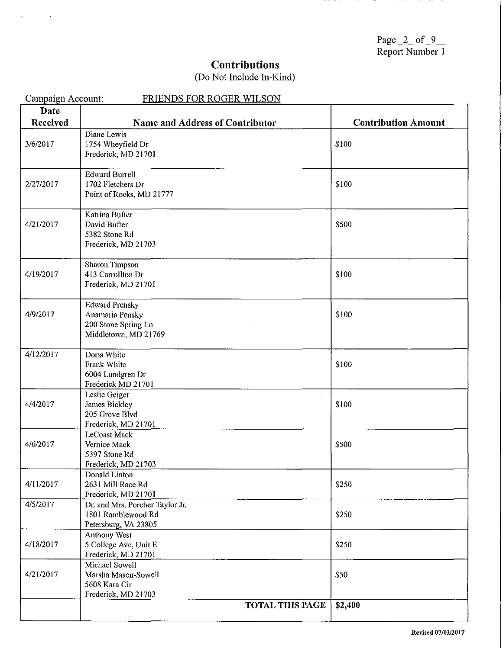Page  $2$  of  $9$ Report Number 1

# **Contributions**

 $\sim$ 

 $\sim 10$ 

| (Do Not Include In-Kind) |  |  |
|--------------------------|--|--|
|--------------------------|--|--|

| Campaign Account: | FRIENDS FOR ROGER WILSON                     |                            |
|-------------------|----------------------------------------------|----------------------------|
| Date              |                                              |                            |
| <b>Received</b>   | <b>Name and Address of Contributor</b>       | <b>Contribution Amount</b> |
|                   | Diane Lewis                                  |                            |
| 3/6/2017          | 1754 Wheyfield Dr                            | \$100                      |
|                   | Frederick, MD 21701                          |                            |
|                   |                                              |                            |
|                   | <b>Edward Burrell</b>                        |                            |
| 2/27/2017         | 1702 Fletchers Dr                            | \$100                      |
|                   | Point of Rocks, MD 21777                     |                            |
|                   |                                              |                            |
|                   | Katrina Bufter                               |                            |
| 4/21/2017         | David Bufter                                 | \$500                      |
|                   | 5382 Stone Rd                                |                            |
|                   | Frederick, MD 21703                          |                            |
|                   | Sharon Timpson                               |                            |
| 4/19/2017         | 413 Carrollton Dr                            | \$100                      |
|                   | Frederick, MD 21701                          |                            |
|                   |                                              |                            |
|                   | <b>Edward Prensky</b>                        |                            |
| 4/9/2017          | Anamaria Pensky                              | \$100                      |
|                   | 200 Stone Spring Ln                          |                            |
|                   | Middletown, MD 21769                         |                            |
|                   |                                              |                            |
| 4/12/2017         | Doris White<br>Frank White                   | \$100                      |
|                   | 6004 Lundgren Dr                             |                            |
|                   | Frederick MD 21701                           |                            |
|                   | Leslie Geiger                                |                            |
| 4/4/2017          | James Bickley                                | \$100                      |
|                   | 205 Grove Blyd                               |                            |
|                   | Frederick, MD 21701                          |                            |
|                   | LeCoast Mack                                 |                            |
| 4/6/2017          | Vernice Mack                                 | \$500                      |
|                   | 5397 Stone Rd                                |                            |
|                   | Frederick, MD 21703                          |                            |
|                   | Donald Linton                                |                            |
| 4/11/2017         | 2631 Mill Race Rd                            | \$250                      |
|                   | Frederick, MD 21701                          |                            |
| 4/5/2017          | Dr. and Mrs. Porcher Taylor Jr.              |                            |
|                   | 1801 Ramblewood Rd                           | \$250                      |
|                   | Petersburg, VA 23805                         |                            |
|                   | Anthony West                                 |                            |
| 4/18/2017         | 5 College Ave, Unit E<br>Frederick, MD 21701 | \$250                      |
|                   | Michael Sowell                               |                            |
| 4/21/2017         | Marsha Mason-Sowell                          | \$50                       |
|                   | 5608 Kara Cir                                |                            |
|                   | Frederick, MD 21703                          |                            |
|                   | <b>TOTAL THIS PAGE</b>                       | \$2,400                    |
|                   |                                              |                            |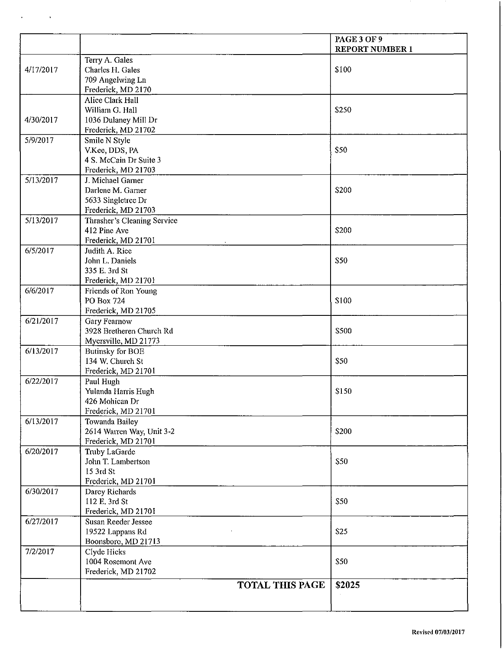|           |                             | PAGE 3 OF 9<br><b>REPORT NUMBER 1</b> |
|-----------|-----------------------------|---------------------------------------|
|           | Terry A. Gales              |                                       |
| 4/17/2017 | Charles H. Gales            | \$100                                 |
|           | 709 Angelwing Ln            |                                       |
|           | Frederick, MD 2170          |                                       |
|           | Alice Clark Hall            |                                       |
|           | William G. Hall             | \$250                                 |
| 4/30/2017 | 1036 Dulaney Mill Dr        |                                       |
|           | Frederick, MD 21702         |                                       |
| 5/9/2017  | Smile N Style               |                                       |
|           | V.Kee, DDS, PA              | \$50                                  |
|           | 4 S. McCain Dr Suite 3      |                                       |
|           | Frederick, MD 21703         |                                       |
| 5/13/2017 | J. Michael Garner           |                                       |
|           | Darlene M. Garner           | \$200                                 |
|           | 5633 Singletree Dr          |                                       |
|           | Frederick, MD 21703         |                                       |
| 5/13/2017 | Thrasher's Cleaning Service |                                       |
|           | 412 Pine Ave                | \$200                                 |
|           | Frederick, MD 21701         |                                       |
| 6/5/2017  | Judith A. Rice              |                                       |
|           | John L. Daniels             | <b>S50</b>                            |
|           | 335 E. 3rd St               |                                       |
|           | Frederick, MD 21701         |                                       |
| 6/6/2017  | Friends of Ron Young        |                                       |
|           | PO Box 724                  | \$100                                 |
|           | Frederick, MD 21705         |                                       |
| 6/21/2017 | <b>Gary Fearnow</b>         |                                       |
|           | 3928 Bretheren Church Rd    | \$500                                 |
|           | Myersville, MD 21773        |                                       |
| 6/13/2017 | <b>Butinsky for BOE</b>     |                                       |
|           | 134 W. Church St            | \$50                                  |
|           | Frederick, MD 21701         |                                       |
| 6/22/2017 | Paul Hugh                   |                                       |
|           | Yulanda Harris Hugh         | \$150                                 |
|           | 426 Mohican Dr              |                                       |
|           | Frederick, MD 21701         |                                       |
| 6/13/2017 | Towanda Bailey              |                                       |
|           | 2614 Warren Way, Unit 3-2   | <b>\$200</b>                          |
|           | Frederick, MD 21701         |                                       |
| 6/20/2017 | Truby LaGarde               |                                       |
|           | John T. Lambertson          | <b>\$50</b>                           |
|           | 15 3rd St                   |                                       |
|           | Frederick, MD 21701         |                                       |
| 6/30/2017 | Darcy Richards              |                                       |
|           | 112 E. 3rd St               | \$50                                  |
|           | Frederick, MD 21701         |                                       |
| 6/27/2017 | Susan Reeder Jessee         |                                       |
|           | 19522 Lappans Rd            | <b>S25</b>                            |
|           | Boonsboro, MD 21713         |                                       |
| 7/2/2017  | Clyde Hicks                 |                                       |
|           | 1004 Rosemont Ave           | <b>S50</b>                            |
|           | Frederick, MD 21702         |                                       |
|           | <b>TOTAL THIS PAGE</b>      | <b>S2025</b>                          |
|           |                             |                                       |
|           |                             |                                       |

 $\ddot{\phantom{a}}$ 

 $\ddot{\phantom{a}}$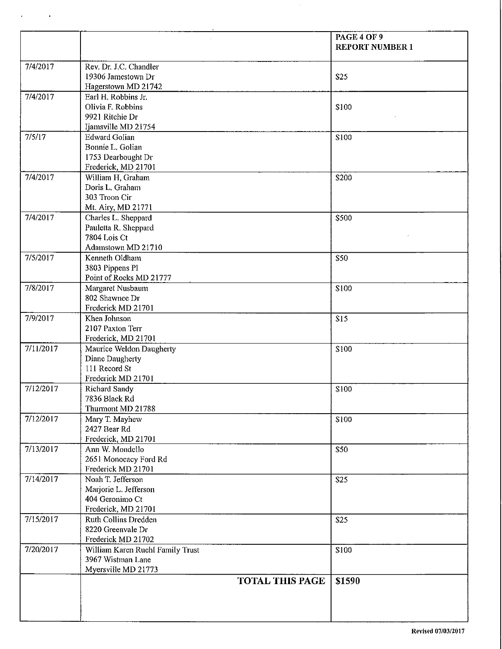|           |                                                                                       | PAGE 4 OF 9<br><b>REPORT NUMBER 1</b> |
|-----------|---------------------------------------------------------------------------------------|---------------------------------------|
| 7/4/2017  | Rev. Dr. J.C. Chandler<br>19306 Jamestown Dr<br>Hagerstown MD 21742                   | \$25                                  |
| 7/4/2017  | Earl H, Robbins Jr.<br>Olivia F. Robbins<br>9921 Ritchie Dr<br>Ijamsville MD 21754    | \$100                                 |
| 7/5/17    | <b>Edward Golian</b><br>Bonnie L. Golian<br>1753 Dearbought Dr<br>Frederick, MD 21701 | \$100                                 |
| 7/4/2017  | William H, Graham<br>Doris L. Graham<br>303 Troon Cir<br>Mt. Airy, MD 21771           | \$200                                 |
| 7/4/2017  | Charles L. Sheppard<br>Pauletta R. Sheppard<br>7804 Lois Ct<br>Adamstown MD 21710     | \$500                                 |
| 7/5/2017  | Kenneth Oldham<br>3803 Pippens Pl<br>Point of Rocks MD 21777                          | \$50                                  |
| 7/8/2017  | Margaret Nusbaum<br>802 Shawnee Dr<br>Frederick MD 21701                              | \$100                                 |
| 7/9/2017  | Khea Johnson<br>2107 Paxton Terr<br>Frederick, MD 21701                               | \$15                                  |
| 7/11/2017 | Maurice Weldon Daugherty<br>Diane Daugherty<br>111 Record St<br>Frederick MD 21701    | \$100                                 |
| 7/12/2017 | <b>Richard Sandy</b><br>7836 Black Rd<br>Thurmont MD 21788                            | \$100                                 |
| 7/12/2017 | Mary T. Mayhew<br>2427 Bear Rd<br>Frederick, MD 21701                                 | \$100                                 |
| 7/13/2017 | Ann W. Mondello<br>2651 Monocacy Ford Rd<br>Frederick MD 21701                        | \$50                                  |
| 7/14/2017 | Noah T. Jefferson<br>Marjorie L. Jefferson<br>404 Geronimo Ct<br>Frederick, MD 21701  | \$25                                  |
| 7/15/2017 | Ruth Collins Dredden<br>8220 Greenvale Dr<br>Frederick MD 21702                       | \$25                                  |
| 7/20/2017 | William Karen Ruehl Family Trust<br>3967 Wistman Lane<br>Myersville MD 21773          | \$100                                 |
|           | <b>TOTAL THIS PAGE</b>                                                                | \$1590                                |

 $\Delta$ 

 $\hat{\mathbf{r}}$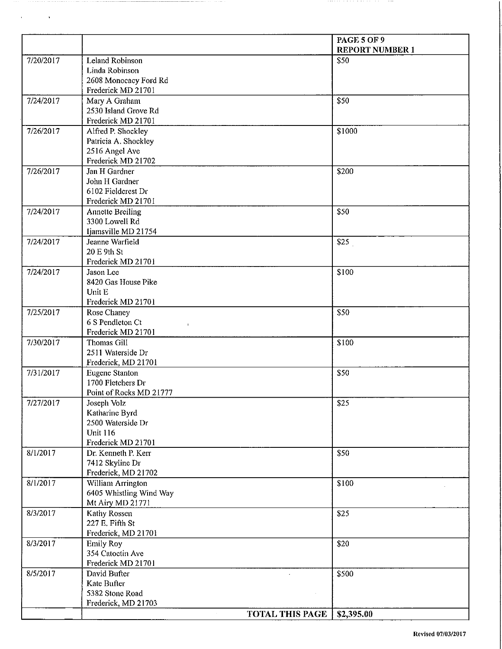|           |                                              | <b>PAGE 5 OF 9</b>     |
|-----------|----------------------------------------------|------------------------|
|           |                                              | <b>REPORT NUMBER 1</b> |
| 7/20/2017 | Leland Robinson<br>Linda Robinson            | \$50                   |
|           | 2608 Monocacy Ford Rd                        |                        |
|           | Frederick MD 21701                           |                        |
| 7/24/2017 | Mary A Graham                                | <b>S50</b>             |
|           | 2530 Island Grove Rd                         |                        |
|           | Frederick MD 21701                           |                        |
| 7/26/2017 | Alfred P. Shockley                           | \$1000                 |
|           | Patricia A. Shockley                         |                        |
|           | 2516 Angel Ave                               |                        |
|           | Frederick MD 21702                           |                        |
| 7/26/2017 | Jan H Gardner                                | \$200                  |
|           | John H Gardner                               |                        |
|           | 6102 Fieldcrest Dr                           |                        |
|           | Frederick MD 21701                           |                        |
| 7/24/2017 | <b>Annette Breiling</b>                      | \$50                   |
|           | 3300 Lowell Rd                               |                        |
|           | Ijamsville MD 21754                          |                        |
| 7/24/2017 | Jeanne Warfield                              | \$25                   |
|           | 20 E 9th St                                  |                        |
|           | Frederick MD 21701                           |                        |
| 7/24/2017 | Jason Lee                                    | \$100                  |
|           | 8420 Gas House Pike<br>Unit E                |                        |
|           | Frederick MD 21701                           |                        |
| 7/25/2017 | Rose Chaney                                  | \$50                   |
|           | 6 S Pendleton Ct                             |                        |
|           | $\mathbf{L}$<br>Frederick MD 21701           |                        |
| 7/30/2017 | Thomas Gill                                  | \$100                  |
|           | 2511 Waterside Dr                            |                        |
|           | Frederick, MD 21701                          |                        |
| 7/31/2017 | <b>Eugene Stanton</b>                        | \$50                   |
|           | 1700 Fletchers Dr                            |                        |
|           | Point of Rocks MD 21777                      |                        |
| 7/27/2017 | Joseph Volz                                  | \$25                   |
|           | Katharine Byrd                               |                        |
|           | 2500 Waterside Dr                            |                        |
|           | <b>Unit 116</b>                              |                        |
|           | Frederick MD 21701                           |                        |
| 8/1/2017  | Dr. Kenneth P. Kerr                          | \$50                   |
|           | 7412 Skyline Dr                              |                        |
|           | Frederick, MD 21702                          |                        |
| 8/1/2017  | William Arrington<br>6405 Whistling Wind Way | \$100                  |
|           | Mt Airy MD 21771                             |                        |
| 8/3/2017  | Kathy Rossen                                 | <b>S25</b>             |
|           | 227 E. Fifth St                              |                        |
|           | Frederick, MD 21701                          |                        |
| 8/3/2017  | <b>Emily Roy</b>                             | \$20                   |
|           | 354 Catoctin Ave                             |                        |
|           | Frederick MD 21701                           |                        |
| 8/5/2017  | David Bufter                                 | \$500                  |
|           | Kate Bufter                                  |                        |
|           | 5382 Stone Road                              |                        |
|           | Frederick, MD 21703                          |                        |
|           | <b>TOTAL THIS PAGE</b>                       | \$2,395.00             |

 $\overline{\phantom{a}}$ 

 $\sim$   $\alpha$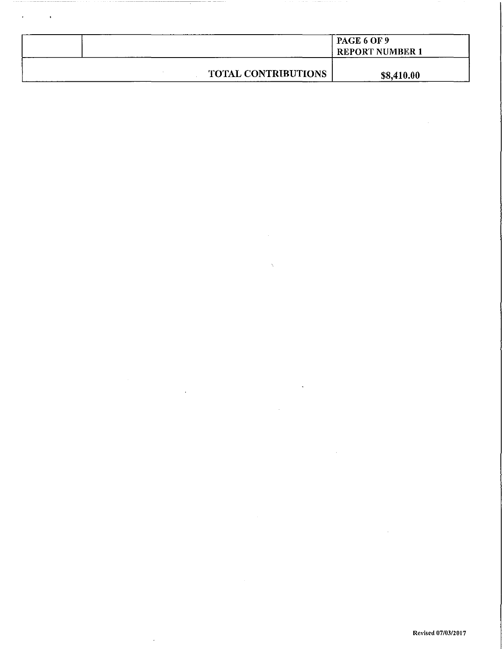|                            | PAGE 6 OF 9<br><b>REPORT NUMBER 1</b> |  |
|----------------------------|---------------------------------------|--|
| <b>TOTAL CONTRIBUTIONS</b> | \$8,410.00                            |  |

J,

 $\ddot{\phantom{a}}$ 

 $\ddot{\phantom{a}}$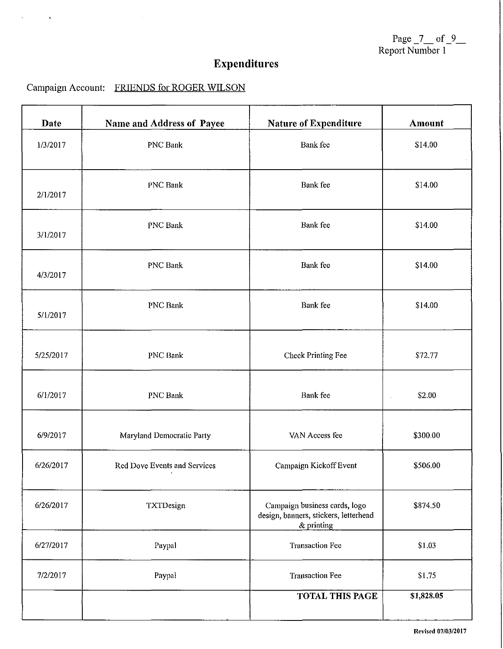Page  $7$  of  $9$ Report Number 1

# **Expenditures**

## Campaign Account: FRIENDS for ROGER WILSON

 $\bar{\mathcal{A}}$ 

 $\overline{1}$ 

 $\ddot{\phantom{a}}$ 

| Date      | Name and Address of Payee    | <b>Nature of Expenditure</b>                                                         | <b>Amount</b>                  |
|-----------|------------------------------|--------------------------------------------------------------------------------------|--------------------------------|
| 1/3/2017  | <b>PNC Bank</b>              | <b>Bank</b> fee                                                                      | \$14.00                        |
| 2/1/2017  | <b>PNC Bank</b>              | <b>Bank</b> fee                                                                      | \$14.00                        |
| 3/1/2017  | $\sim$<br><b>PNC Bank</b>    | Bank fee                                                                             | \$14.00                        |
| 4/3/2017  | <b>PNC Bank</b>              | Bank fee                                                                             | \$14.00                        |
| 5/1/2017  | PNC Bank                     | Bank fee                                                                             | \$14.00                        |
| 5/25/2017 | PNC Bank                     | Check Printing Fee                                                                   | \$72.77                        |
| 6/1/2017  | PNC Bank                     | Bank fee                                                                             | \$2.00<br>$\ddot{\phantom{a}}$ |
| 6/9/2017  | Maryland Democratic Party    | VAN Access fee                                                                       | \$300.00                       |
| 6/26/2017 | Red Dove Events and Services | Campaign Kickoff Event                                                               | \$506.00                       |
| 6/26/2017 | TXTDesign                    | Campaign business cards, logo<br>design, banners, stickers, letterhead<br>& printing | \$874.50                       |
| 6/27/2017 | Paypal                       | <b>Transaction Fee</b>                                                               | \$1.03                         |
| 7/2/2017  | Paypal                       | <b>Transaction Fee</b>                                                               | \$1.75                         |
|           |                              | <b>TOTAL THIS PAGE</b>                                                               | \$1,828.05                     |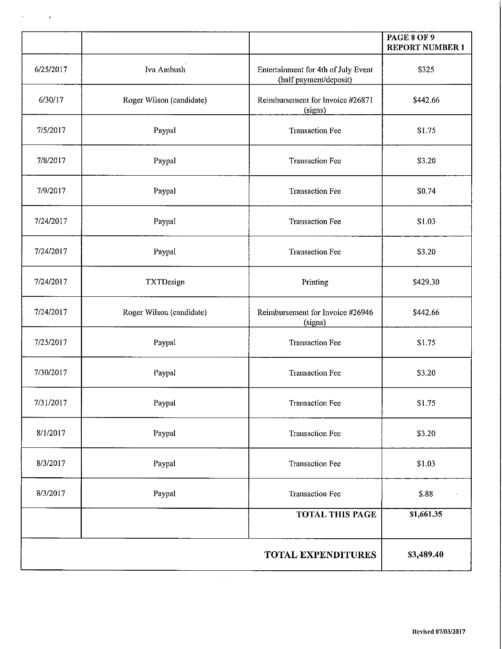|           |                          |                                                               | <b>PAGE 8 OF 9</b><br><b>REPORT NUMBER 1</b> |
|-----------|--------------------------|---------------------------------------------------------------|----------------------------------------------|
| 6/25/2017 | Iva Ambush               | Entertainment for 4th of July Event<br>(half payment/deposit) | \$325                                        |
| 6/30/17   | Roger Wilson (candidate) | Reimbursement for Invoice #26871<br>(signs)                   | \$442.66                                     |
| 7/5/2017  | Paypal                   | <b>Transaction Fee</b>                                        | \$1.75                                       |
| 7/8/2017  | Paypal                   | <b>Transaction Fee</b>                                        | \$3.20                                       |
| 7/9/2017  | Paypal                   | <b>Transaction Fee</b>                                        | \$0.74                                       |
| 7/24/2017 | Paypal                   | <b>Transaction Fee</b>                                        | \$1.03                                       |
| 7/24/2017 | Paypal                   | <b>Transaction Fee</b>                                        | \$3.20                                       |
| 7/24/2017 | TXTDesign                | Printing                                                      | \$429.30                                     |
| 7/24/2017 | Roger Wilson (candidate) | Reimbursement for Invoice #26946<br>(signs)                   | \$442.66                                     |
| 7/25/2017 | Paypal                   | <b>Transaction Fee</b>                                        | \$1.75                                       |
| 7/30/2017 | Paypal                   | <b>Transaction Fee</b>                                        | \$3.20                                       |
| 7/31/2017 | Paypal                   | <b>Transaction Fee</b>                                        | \$1.75                                       |
| 8/1/2017  | Paypal                   | <b>Transaction Fee</b>                                        | \$3.20                                       |
| 8/3/2017  | Paypal                   | <b>Transaction Fee</b>                                        | \$1.03                                       |
| 8/3/2017  | Paypal                   | <b>Transaction Fee</b>                                        | \$.88                                        |
|           |                          | <b>TOTAL THIS PAGE</b>                                        | \$1,661.35                                   |
|           |                          | <b>TOTAL EXPENDITURES</b>                                     | \$3,489.40                                   |

 $\sim 10$ 

 $\mathcal{L}^{\text{max}}(\mathbf{r})$  , where  $\mathcal{L}^{\text{max}}(\mathbf{x})$